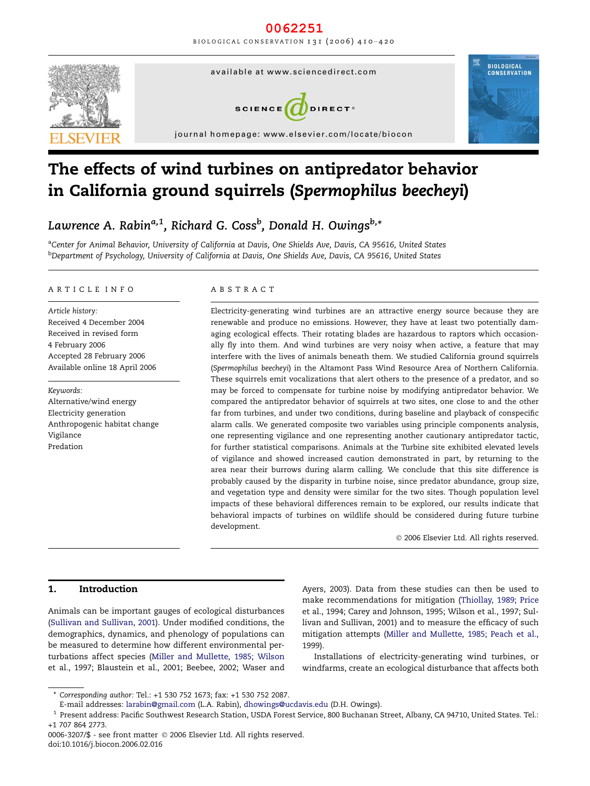# BIOLOGICAL CONSERVATION 131 (2006) 410-420 **0062251**



# The effects of wind turbines on antipredator behavior in California ground squirrels (Spermophilus beecheyi)

# Lawrence A. Rabin<sup>a,1</sup>, Richard G. Coss<sup>b</sup>, Donald H. Owings<sup>b,</sup>\*

<sup>a</sup>Center for Animal Behavior, University of California at Davis, One Shields Ave, Davis, CA 95616, United States <sup>b</sup>Department of Psychology, University of California at Davis, One Shields Ave, Davis, CA 95616, United States

#### ARTICLE INFO

Article history: Received 4 December 2004 Received in revised form 4 February 2006 Accepted 28 February 2006 Available online 18 April 2006

Keywords: Alternative/wind energy Electricity generation Anthropogenic habitat change Vigilance Predation

#### ABSTRACT

Electricity-generating wind turbines are an attractive energy source because they are renewable and produce no emissions. However, they have at least two potentially damaging ecological effects. Their rotating blades are hazardous to raptors which occasionally fly into them. And wind turbines are very noisy when active, a feature that may interfere with the lives of animals beneath them. We studied California ground squirrels (Spermophilus beecheyi) in the Altamont Pass Wind Resource Area of Northern California. These squirrels emit vocalizations that alert others to the presence of a predator, and so may be forced to compensate for turbine noise by modifying antipredator behavior. We compared the antipredator behavior of squirrels at two sites, one close to and the other far from turbines, and under two conditions, during baseline and playback of conspecific alarm calls. We generated composite two variables using principle components analysis, one representing vigilance and one representing another cautionary antipredator tactic, for further statistical comparisons. Animals at the Turbine site exhibited elevated levels of vigilance and showed increased caution demonstrated in part, by returning to the area near their burrows during alarm calling. We conclude that this site difference is probably caused by the disparity in turbine noise, since predator abundance, group size, and vegetation type and density were similar for the two sites. Though population level impacts of these behavioral differences remain to be explored, our results indicate that behavioral impacts of turbines on wildlife should be considered during future turbine development.

© 2006 Elsevier Ltd. All rights reserved.

# 1. Introduction

Animals can be important gauges of ecological disturbances [\(Sullivan and Sullivan, 2001](#page-9-0)). Under modified conditions, the demographics, dynamics, and phenology of populations can be measured to determine how different environmental perturbations affect species [\(Miller and Mullette, 1985; Wilson](#page-9-0) [et al., 1997; Blaustein et al., 2001; Beebee, 2002; Waser and](#page-9-0) [Ayers, 2003](#page-9-0)). Data from these studies can then be used to make recommendations for mitigation [\(Thiollay, 1989; Price](#page-10-0) [et al., 1994; Carey and Johnson, 1995; Wilson et al., 1997; Sul](#page-10-0)[livan and Sullivan, 2001\)](#page-10-0) and to measure the efficacy of such mitigation attempts [\(Miller and Mullette, 1985; Peach et al.,](#page-9-0) [1999\)](#page-9-0).

Installations of electricity-generating wind turbines, or windfarms, create an ecological disturbance that affects both

<sup>\*</sup> Corresponding author: Tel.: +1 530 752 1673; fax: +1 530 752 2087.

E-mail addresses: [larabin@gmail.com](mailto:larabin@gmail.com) (L.A. Rabin), [dhowings@ucdavis.edu](mailto:dhowings@ucdavis.edu) (D.H. Owings).

<sup>1</sup> Present address: Pacific Southwest Research Station, USDA Forest Service, 800 Buchanan Street, Albany, CA 94710, United States. Tel.: +1 707 864 2773.

<sup>0006-3207/\$ -</sup> see front matter © 2006 Elsevier Ltd. All rights reserved. doi:10.1016/j.biocon.2006.02.016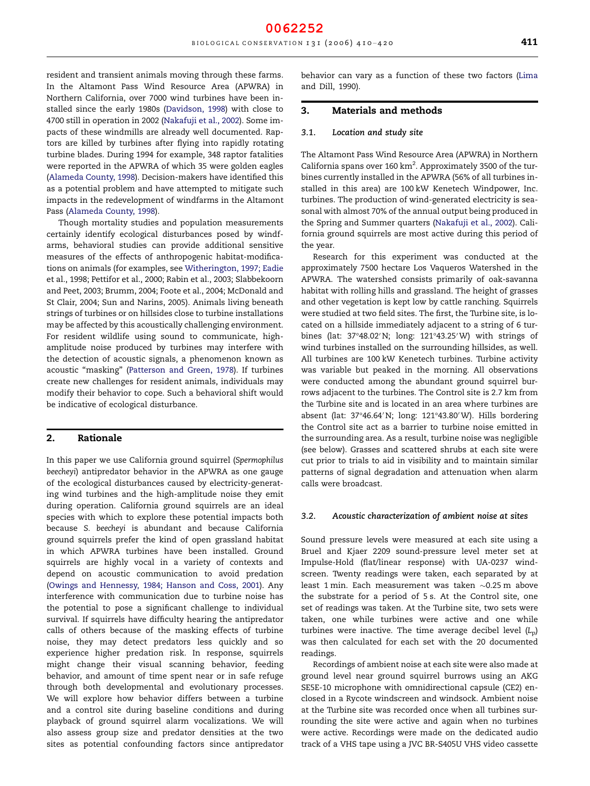resident and transient animals moving through these farms. In the Altamont Pass Wind Resource Area (APWRA) in Northern California, over 7000 wind turbines have been installed since the early 1980s ([Davidson, 1998](#page-9-0)) with close to 4700 still in operation in 2002 [\(Nakafuji et al., 2002\)](#page-9-0). Some impacts of these windmills are already well documented. Raptors are killed by turbines after flying into rapidly rotating turbine blades. During 1994 for example, 348 raptor fatalities were reported in the APWRA of which 35 were golden eagles ([Alameda County, 1998](#page-8-0)). Decision-makers have identified this as a potential problem and have attempted to mitigate such impacts in the redevelopment of windfarms in the Altamont Pass [\(Alameda County, 1998\)](#page-8-0).

Though mortality studies and population measurements certainly identify ecological disturbances posed by windfarms, behavioral studies can provide additional sensitive measures of the effects of anthropogenic habitat-modifications on animals (for examples, see [Witherington, 1997; Eadie](#page-10-0) [et al., 1998; Pettifor et al., 2000; Rabin et al., 2003; Slabbekoorn](#page-10-0) [and Peet, 2003; Brumm, 2004; Foote et al., 2004; McDonald and](#page-10-0) [St Clair, 2004; Sun and Narins, 2005](#page-10-0)). Animals living beneath strings of turbines or on hillsides close to turbine installations may be affected by this acoustically challenging environment. For resident wildlife using sound to communicate, highamplitude noise produced by turbines may interfere with the detection of acoustic signals, a phenomenon known as acoustic ''masking'' [\(Patterson and Green, 1978\)](#page-9-0). If turbines create new challenges for resident animals, individuals may modify their behavior to cope. Such a behavioral shift would be indicative of ecological disturbance.

#### 2. Rationale

In this paper we use California ground squirrel (Spermophilus beecheyi) antipredator behavior in the APWRA as one gauge of the ecological disturbances caused by electricity-generating wind turbines and the high-amplitude noise they emit during operation. California ground squirrels are an ideal species with which to explore these potential impacts both because S. beecheyi is abundant and because California ground squirrels prefer the kind of open grassland habitat in which APWRA turbines have been installed. Ground squirrels are highly vocal in a variety of contexts and depend on acoustic communication to avoid predation ([Owings and Hennessy, 1984; Hanson and Coss, 2001](#page-9-0)). Any interference with communication due to turbine noise has the potential to pose a significant challenge to individual survival. If squirrels have difficulty hearing the antipredator calls of others because of the masking effects of turbine noise, they may detect predators less quickly and so experience higher predation risk. In response, squirrels might change their visual scanning behavior, feeding behavior, and amount of time spent near or in safe refuge through both developmental and evolutionary processes. We will explore how behavior differs between a turbine and a control site during baseline conditions and during playback of ground squirrel alarm vocalizations. We will also assess group size and predator densities at the two sites as potential confounding factors since antipredator

behavior can vary as a function of these two factors ([Lima](#page-9-0) [and Dill, 1990](#page-9-0)).

#### 3. Materials and methods

#### 3.1. Location and study site

The Altamont Pass Wind Resource Area (APWRA) in Northern California spans over  $160 \text{ km}^2$ . Approximately 3500 of the turbines currently installed in the APWRA (56% of all turbines installed in this area) are 100 kW Kenetech Windpower, Inc. turbines. The production of wind-generated electricity is seasonal with almost 70% of the annual output being produced in the Spring and Summer quarters ([Nakafuji et al., 2002\)](#page-9-0). California ground squirrels are most active during this period of the year.

Research for this experiment was conducted at the approximately 7500 hectare Los Vaqueros Watershed in the APWRA. The watershed consists primarily of oak-savanna habitat with rolling hills and grassland. The height of grasses and other vegetation is kept low by cattle ranching. Squirrels were studied at two field sites. The first, the Turbine site, is located on a hillside immediately adjacent to a string of 6 turbines (lat: 37°48.02′N; long: 121°43.25′W) with strings of wind turbines installed on the surrounding hillsides, as well. All turbines are 100 kW Kenetech turbines. Turbine activity was variable but peaked in the morning. All observations were conducted among the abundant ground squirrel burrows adjacent to the turbines. The Control site is 2.7 km from the Turbine site and is located in an area where turbines are absent (lat: 37°46.64'N; long: 121°43.80'W). Hills bordering the Control site act as a barrier to turbine noise emitted in the surrounding area. As a result, turbine noise was negligible (see below). Grasses and scattered shrubs at each site were cut prior to trials to aid in visibility and to maintain similar patterns of signal degradation and attenuation when alarm calls were broadcast.

#### 3.2. Acoustic characterization of ambient noise at sites

Sound pressure levels were measured at each site using a Bruel and Kjaer 2209 sound-pressure level meter set at Impulse-Hold (flat/linear response) with UA-0237 windscreen. Twenty readings were taken, each separated by at least 1 min. Each measurement was taken  ${\sim}$ 0.25 m above the substrate for a period of 5 s. At the Control site, one set of readings was taken. At the Turbine site, two sets were taken, one while turbines were active and one while turbines were inactive. The time average decibel level  $(L_p)$ was then calculated for each set with the 20 documented readings.

Recordings of ambient noise at each site were also made at ground level near ground squirrel burrows using an AKG SE5E-10 microphone with omnidirectional capsule (CE2) enclosed in a Rycote windscreen and windsock. Ambient noise at the Turbine site was recorded once when all turbines surrounding the site were active and again when no turbines were active. Recordings were made on the dedicated audio track of a VHS tape using a JVC BR-S405U VHS video cassette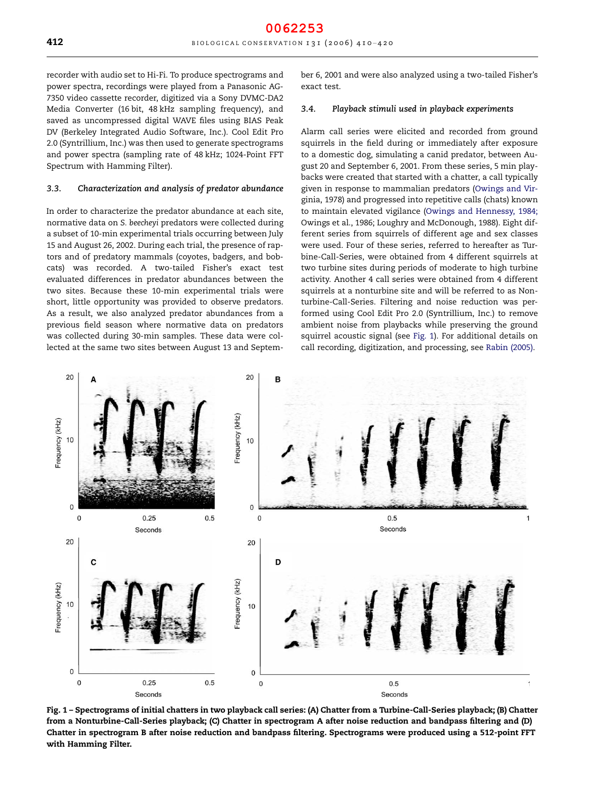<span id="page-2-0"></span>recorder with audio set to Hi-Fi. To produce spectrograms and power spectra, recordings were played from a Panasonic AG-7350 video cassette recorder, digitized via a Sony DVMC-DA2 Media Converter (16 bit, 48 kHz sampling frequency), and saved as uncompressed digital WAVE files using BIAS Peak DV (Berkeley Integrated Audio Software, Inc.). Cool Edit Pro 2.0 (Syntrillium, Inc.) was then used to generate spectrograms and power spectra (sampling rate of 48 kHz; 1024-Point FFT Spectrum with Hamming Filter).

#### 3.3. Characterization and analysis of predator abundance

In order to characterize the predator abundance at each site, normative data on S. beecheyi predators were collected during a subset of 10-min experimental trials occurring between July 15 and August 26, 2002. During each trial, the presence of raptors and of predatory mammals (coyotes, badgers, and bobcats) was recorded. A two-tailed Fisher's exact test evaluated differences in predator abundances between the two sites. Because these 10-min experimental trials were short, little opportunity was provided to observe predators. As a result, we also analyzed predator abundances from a previous field season where normative data on predators was collected during 30-min samples. These data were collected at the same two sites between August 13 and September 6, 2001 and were also analyzed using a two-tailed Fisher's exact test.

#### 3.4. Playback stimuli used in playback experiments

Alarm call series were elicited and recorded from ground squirrels in the field during or immediately after exposure to a domestic dog, simulating a canid predator, between August 20 and September 6, 2001. From these series, 5 min playbacks were created that started with a chatter, a call typically given in response to mammalian predators ([Owings and Vir](#page-9-0)[ginia, 1978](#page-9-0)) and progressed into repetitive calls (chats) known to maintain elevated vigilance [\(Owings and Hennessy, 1984;](#page-9-0) [Owings et al., 1986; Loughry and McDonough, 1988\)](#page-9-0). Eight different series from squirrels of different age and sex classes were used. Four of these series, referred to hereafter as Turbine-Call-Series, were obtained from 4 different squirrels at two turbine sites during periods of moderate to high turbine activity. Another 4 call series were obtained from 4 different squirrels at a nonturbine site and will be referred to as Nonturbine-Call-Series. Filtering and noise reduction was performed using Cool Edit Pro 2.0 (Syntrillium, Inc.) to remove ambient noise from playbacks while preserving the ground squirrel acoustic signal (see Fig. 1). For additional details on call recording, digitization, and processing, see [Rabin \(2005\)](#page-9-0).



Fig. 1 – Spectrograms of initial chatters in two playback call series: (A) Chatter from a Turbine-Call-Series playback; (B) Chatter from a Nonturbine-Call-Series playback; (C) Chatter in spectrogram A after noise reduction and bandpass filtering and (D) Chatter in spectrogram B after noise reduction and bandpass filtering. Spectrograms were produced using a 512-point FFT with Hamming Filter.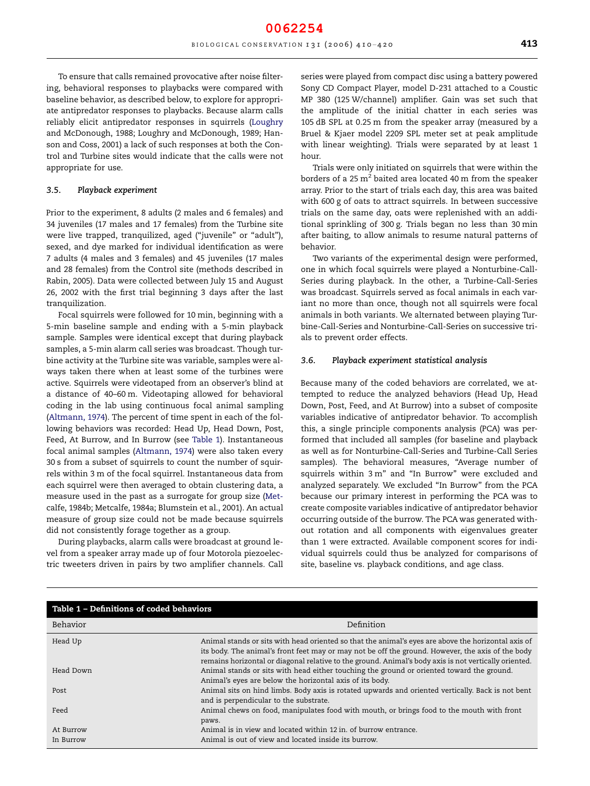To ensure that calls remained provocative after noise filtering, behavioral responses to playbacks were compared with baseline behavior, as described below, to explore for appropriate antipredator responses to playbacks. Because alarm calls reliably elicit antipredator responses in squirrels [\(Loughry](#page-9-0) [and McDonough, 1988; Loughry and McDonough, 1989; Han](#page-9-0)[son and Coss, 2001](#page-9-0)) a lack of such responses at both the Control and Turbine sites would indicate that the calls were not appropriate for use.

#### 3.5. Playback experiment

Prior to the experiment, 8 adults (2 males and 6 females) and 34 juveniles (17 males and 17 females) from the Turbine site were live trapped, tranquilized, aged ("juvenile" or "adult"), sexed, and dye marked for individual identification as were 7 adults (4 males and 3 females) and 45 juveniles (17 males and 28 females) from the Control site (methods described in [Rabin, 2005](#page-9-0)). Data were collected between July 15 and August 26, 2002 with the first trial beginning 3 days after the last tranquilization.

Focal squirrels were followed for 10 min, beginning with a 5-min baseline sample and ending with a 5-min playback sample. Samples were identical except that during playback samples, a 5-min alarm call series was broadcast. Though turbine activity at the Turbine site was variable, samples were always taken there when at least some of the turbines were active. Squirrels were videotaped from an observer's blind at a distance of 40–60 m. Videotaping allowed for behavioral coding in the lab using continuous focal animal sampling [\(Altmann, 1974\)](#page-8-0). The percent of time spent in each of the following behaviors was recorded: Head Up, Head Down, Post, Feed, At Burrow, and In Burrow (see Table 1). Instantaneous focal animal samples ([Altmann, 1974\)](#page-8-0) were also taken every 30 s from a subset of squirrels to count the number of squirrels within 3 m of the focal squirrel. Instantaneous data from each squirrel were then averaged to obtain clustering data, a measure used in the past as a surrogate for group size ([Met](#page-9-0)[calfe, 1984b; Metcalfe, 1984a; Blumstein et al., 2001](#page-9-0)). An actual measure of group size could not be made because squirrels did not consistently forage together as a group.

During playbacks, alarm calls were broadcast at ground level from a speaker array made up of four Motorola piezoelectric tweeters driven in pairs by two amplifier channels. Call series were played from compact disc using a battery powered Sony CD Compact Player, model D-231 attached to a Coustic MP 380 (125 W/channel) amplifier. Gain was set such that the amplitude of the initial chatter in each series was 105 dB SPL at 0.25 m from the speaker array (measured by a Bruel & Kjaer model 2209 SPL meter set at peak amplitude with linear weighting). Trials were separated by at least 1 hour.

Trials were only initiated on squirrels that were within the borders of a 25  $m^2$  baited area located 40 m from the speaker array. Prior to the start of trials each day, this area was baited with 600 g of oats to attract squirrels. In between successive trials on the same day, oats were replenished with an additional sprinkling of 300 g. Trials began no less than 30 min after baiting, to allow animals to resume natural patterns of behavior.

Two variants of the experimental design were performed, one in which focal squirrels were played a Nonturbine-Call-Series during playback. In the other, a Turbine-Call-Series was broadcast. Squirrels served as focal animals in each variant no more than once, though not all squirrels were focal animals in both variants. We alternated between playing Turbine-Call-Series and Nonturbine-Call-Series on successive trials to prevent order effects.

#### 3.6. Playback experiment statistical analysis

Because many of the coded behaviors are correlated, we attempted to reduce the analyzed behaviors (Head Up, Head Down, Post, Feed, and At Burrow) into a subset of composite variables indicative of antipredator behavior. To accomplish this, a single principle components analysis (PCA) was performed that included all samples (for baseline and playback as well as for Nonturbine-Call-Series and Turbine-Call Series samples). The behavioral measures, "Average number of squirrels within 3 m'' and ''In Burrow'' were excluded and analyzed separately. We excluded ''In Burrow'' from the PCA because our primary interest in performing the PCA was to create composite variables indicative of antipredator behavior occurring outside of the burrow. The PCA was generated without rotation and all components with eigenvalues greater than 1 were extracted. Available component scores for individual squirrels could thus be analyzed for comparisons of site, baseline vs. playback conditions, and age class.

| Table 1 - Definitions of coded behaviors |                                                                                                                                                                                                                                                                                                                   |  |  |  |
|------------------------------------------|-------------------------------------------------------------------------------------------------------------------------------------------------------------------------------------------------------------------------------------------------------------------------------------------------------------------|--|--|--|
| Behavior                                 | Definition                                                                                                                                                                                                                                                                                                        |  |  |  |
| Head Up                                  | Animal stands or sits with head oriented so that the animal's eyes are above the horizontal axis of<br>its body. The animal's front feet may or may not be off the ground. However, the axis of the body<br>remains horizontal or diagonal relative to the ground. Animal's body axis is not vertically oriented. |  |  |  |
| Head Down                                | Animal stands or sits with head either touching the ground or oriented toward the ground.<br>Animal's eyes are below the horizontal axis of its body.                                                                                                                                                             |  |  |  |
| Post                                     | Animal sits on hind limbs. Body axis is rotated upwards and oriented vertically. Back is not bent<br>and is perpendicular to the substrate.                                                                                                                                                                       |  |  |  |
| Feed                                     | Animal chews on food, manipulates food with mouth, or brings food to the mouth with front<br>paws.                                                                                                                                                                                                                |  |  |  |
| At Burrow                                | Animal is in view and located within 12 in, of burrow entrance.                                                                                                                                                                                                                                                   |  |  |  |
| In Burrow                                | Animal is out of view and located inside its burrow.                                                                                                                                                                                                                                                              |  |  |  |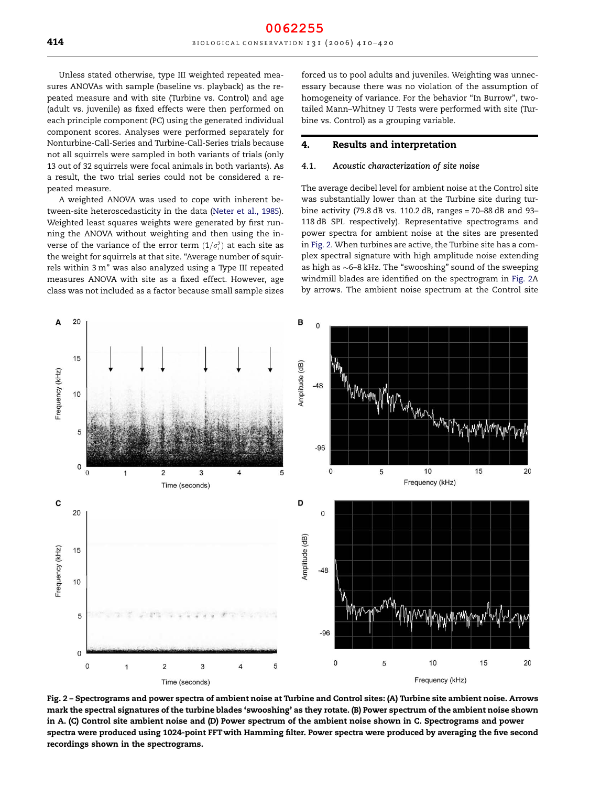<span id="page-4-0"></span>Unless stated otherwise, type III weighted repeated measures ANOVAs with sample (baseline vs. playback) as the repeated measure and with site (Turbine vs. Control) and age (adult vs. juvenile) as fixed effects were then performed on each principle component (PC) using the generated individual component scores. Analyses were performed separately for Nonturbine-Call-Series and Turbine-Call-Series trials because not all squirrels were sampled in both variants of trials (only 13 out of 32 squirrels were focal animals in both variants). As a result, the two trial series could not be considered a repeated measure.

A weighted ANOVA was used to cope with inherent between-site heteroscedasticity in the data ([Neter et al., 1985\)](#page-9-0). Weighted least squares weights were generated by first running the ANOVA without weighting and then using the inverse of the variance of the error term  $(1/\sigma_i^2)$  at each site as the weight for squirrels at that site. "Average number of squirrels within 3 m'' was also analyzed using a Type III repeated measures ANOVA with site as a fixed effect. However, age class was not included as a factor because small sample sizes forced us to pool adults and juveniles. Weighting was unnecessary because there was no violation of the assumption of homogeneity of variance. For the behavior "In Burrow", twotailed Mann–Whitney U Tests were performed with site (Turbine vs. Control) as a grouping variable.

#### 4. Results and interpretation

#### 4.1. Acoustic characterization of site noise

The average decibel level for ambient noise at the Control site was substantially lower than at the Turbine site during turbine activity (79.8 dB vs. 110.2 dB, ranges = 70–88 dB and 93– 118 dB SPL respectively). Representative spectrograms and power spectra for ambient noise at the sites are presented in Fig. 2. When turbines are active, the Turbine site has a complex spectral signature with high amplitude noise extending as high as  $\sim$ 6–8 kHz. The "swooshing" sound of the sweeping windmill blades are identified on the spectrogram in Fig. 2A by arrows. The ambient noise spectrum at the Control site



Fig. 2 – Spectrograms and power spectra of ambient noise at Turbine and Control sites: (A) Turbine site ambient noise. Arrows mark the spectral signatures of the turbine blades 'swooshing' as they rotate. (B) Power spectrum of the ambient noise shown in A. (C) Control site ambient noise and (D) Power spectrum of the ambient noise shown in C. Spectrograms and power spectra were produced using 1024-point FFTwith Hamming filter. Power spectra were produced by averaging the five second recordings shown in the spectrograms.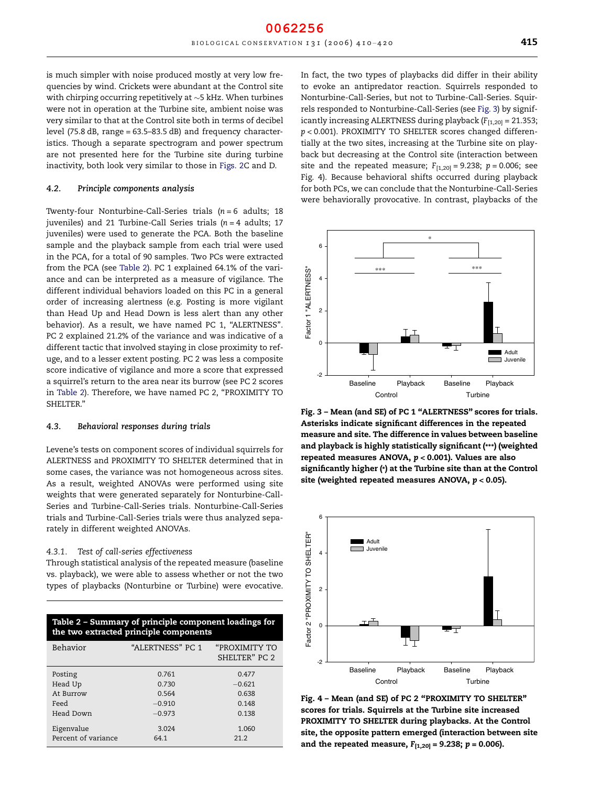<span id="page-5-0"></span>is much simpler with noise produced mostly at very low frequencies by wind. Crickets were abundant at the Control site with chirping occurring repetitively at  $\sim$ 5 kHz. When turbines were not in operation at the Turbine site, ambient noise was very similar to that at the Control site both in terms of decibel level (75.8 dB, range = 63.5–83.5 dB) and frequency characteristics. Though a separate spectrogram and power spectrum are not presented here for the Turbine site during turbine inactivity, both look very similar to those in [Figs. 2](#page-4-0)C and D.

#### 4.2. Principle components analysis

Twenty-four Nonturbine-Call-Series trials  $(n = 6$  adults; 18 juveniles) and 21 Turbine-Call Series trials  $(n = 4$  adults; 17 juveniles) were used to generate the PCA. Both the baseline sample and the playback sample from each trial were used in the PCA, for a total of 90 samples. Two PCs were extracted from the PCA (see Table 2). PC 1 explained 64.1% of the variance and can be interpreted as a measure of vigilance. The different individual behaviors loaded on this PC in a general order of increasing alertness (e.g. Posting is more vigilant than Head Up and Head Down is less alert than any other behavior). As a result, we have named PC 1, ''ALERTNESS''. PC 2 explained 21.2% of the variance and was indicative of a different tactic that involved staying in close proximity to refuge, and to a lesser extent posting. PC 2 was less a composite score indicative of vigilance and more a score that expressed a squirrel's return to the area near its burrow (see PC 2 scores in Table 2). Therefore, we have named PC 2, ''PROXIMITY TO SHELTER.''

#### 4.3. Behavioral responses during trials

Levene's tests on component scores of individual squirrels for ALERTNESS and PROXIMITY TO SHELTER determined that in some cases, the variance was not homogeneous across sites. As a result, weighted ANOVAs were performed using site weights that were generated separately for Nonturbine-Call-Series and Turbine-Call-Series trials. Nonturbine-Call-Series trials and Turbine-Call-Series trials were thus analyzed separately in different weighted ANOVAs.

#### 4.3.1. Test of call-series effectiveness

Through statistical analysis of the repeated measure (baseline vs. playback), we were able to assess whether or not the two types of playbacks (Nonturbine or Turbine) were evocative.

| Table 2 - Summary of principle component loadings for<br>the two extracted principle components |                  |                                |  |  |  |  |
|-------------------------------------------------------------------------------------------------|------------------|--------------------------------|--|--|--|--|
| <b>Behavior</b>                                                                                 | "ALERTNESS" PC 1 | "PROXIMITY TO<br>SHELTER" PC 2 |  |  |  |  |
| Posting                                                                                         | 0.761            | 0.477                          |  |  |  |  |
| Head Up                                                                                         | 0.730            | $-0.621$                       |  |  |  |  |
| At Burrow                                                                                       | 0.564            | 0.638                          |  |  |  |  |
| Feed                                                                                            | $-0.910$         | 0.148                          |  |  |  |  |
| Head Down                                                                                       | $-0.973$         | 0.138                          |  |  |  |  |
| Eigenvalue                                                                                      | 3.024            | 1.060                          |  |  |  |  |
| Percent of variance                                                                             | 64.1             | 21.2                           |  |  |  |  |

In fact, the two types of playbacks did differ in their ability to evoke an antipredator reaction. Squirrels responded to Nonturbine-Call-Series, but not to Turbine-Call-Series. Squirrels responded to Nonturbine-Call-Series (see Fig. 3) by significantly increasing ALERTNESS during playback  $(F<sub>[1,20]</sub>] = 21.353;$ p < 0.001). PROXIMITY TO SHELTER scores changed differentially at the two sites, increasing at the Turbine site on playback but decreasing at the Control site (interaction between site and the repeated measure;  $F_{[1,20]} = 9.238$ ;  $p = 0.006$ ; see Fig. 4). Because behavioral shifts occurred during playback for both PCs, we can conclude that the Nonturbine-Call-Series were behaviorally provocative. In contrast, playbacks of the



Fig. 3 – Mean (and SE) of PC 1 ''ALERTNESS'' scores for trials. Asterisks indicate significant differences in the repeated measure and site. The difference in values between baseline and playback is highly statistically significant (\*\*\*) (weighted repeated measures ANOVA, p < 0.001). Values are also significantly higher (\*) at the Turbine site than at the Control site (weighted repeated measures ANOVA, p < 0.05).



Fig. 4 – Mean (and SE) of PC 2 ''PROXIMITY TO SHELTER'' scores for trials. Squirrels at the Turbine site increased PROXIMITY TO SHELTER during playbacks. At the Control site, the opposite pattern emerged (interaction between site and the repeated measure,  $F_{[1,20]} = 9.238$ ;  $p = 0.006$ ).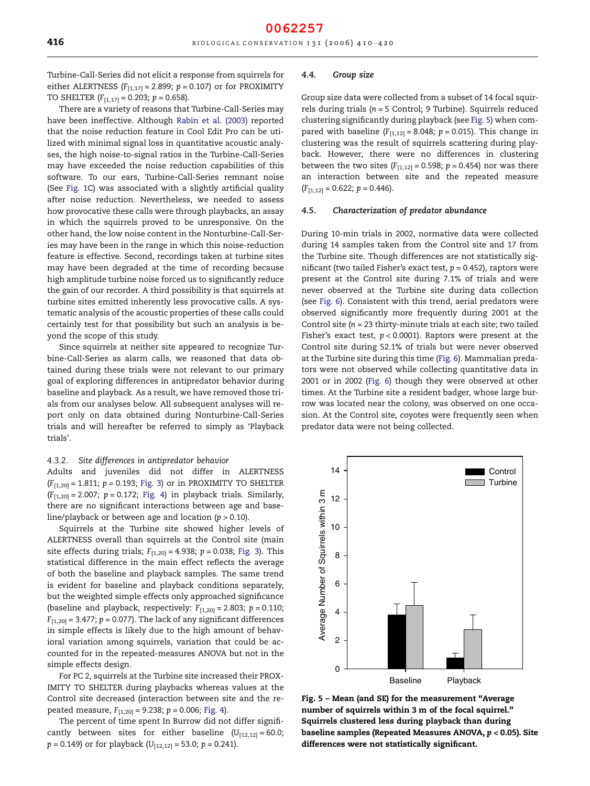<span id="page-6-0"></span>Turbine-Call-Series did not elicit a response from squirrels for either ALERTNESS ( $F_{[1,17]}$  = 2.899;  $p$  = 0.107) or for PROXIMITY TO SHELTER  $(F_{[1,17]} = 0.203; p = 0.658)$ .

There are a variety of reasons that Turbine-Call-Series may have been ineffective. Although [Rabin et al. \(2003\)](#page-9-0) reported that the noise reduction feature in Cool Edit Pro can be utilized with minimal signal loss in quantitative acoustic analyses, the high noise-to-signal ratios in the Turbine-Call-Series may have exceeded the noise reduction capabilities of this software. To our ears, Turbine-Call-Series remnant noise (See [Fig. 1](#page-2-0)C) was associated with a slightly artificial quality after noise reduction. Nevertheless, we needed to assess how provocative these calls were through playbacks, an assay in which the squirrels proved to be unresponsive. On the other hand, the low noise content in the Nonturbine-Call-Series may have been in the range in which this noise-reduction feature is effective. Second, recordings taken at turbine sites may have been degraded at the time of recording because high amplitude turbine noise forced us to significantly reduce the gain of our recorder. A third possibility is that squirrels at turbine sites emitted inherently less provocative calls. A systematic analysis of the acoustic properties of these calls could certainly test for that possibility but such an analysis is beyond the scope of this study.

Since squirrels at neither site appeared to recognize Turbine-Call-Series as alarm calls, we reasoned that data obtained during these trials were not relevant to our primary goal of exploring differences in antipredator behavior during baseline and playback. As a result, we have removed those trials from our analyses below. All subsequent analyses will report only on data obtained during Nonturbine-Call-Series trials and will hereafter be referred to simply as 'Playback trials'.

#### 4.3.2. Site differences in antipredator behavior

Adults and juveniles did not differ in ALERTNESS  $(F_{[1,20]} = 1.811; p = 0.193; Fig. 3)$  $(F_{[1,20]} = 1.811; p = 0.193; Fig. 3)$  or in PROXIMITY TO SHELTER  $(F<sub>[1,20]</sub> = 2.007; p = 0.172; Fig. 4)$  $(F<sub>[1,20]</sub> = 2.007; p = 0.172; Fig. 4)$  $(F<sub>[1,20]</sub> = 2.007; p = 0.172; Fig. 4)$  in playback trials. Similarly, there are no significant interactions between age and baseline/playback or between age and location ( $p > 0.10$ ).

Squirrels at the Turbine site showed higher levels of ALERTNESS overall than squirrels at the Control site (main site effects during trials;  $F_{[1,20]} = 4.938$ ;  $p = 0.038$ ; [Fig. 3\)](#page-5-0). This statistical difference in the main effect reflects the average of both the baseline and playback samples. The same trend is evident for baseline and playback conditions separately, but the weighted simple effects only approached significance (baseline and playback, respectively:  $F_{[1,20]} = 2.803$ ;  $p = 0.110$ ;  $F_{[1,20]} = 3.477$ ;  $p = 0.077$ ). The lack of any significant differences in simple effects is likely due to the high amount of behavioral variation among squirrels, variation that could be accounted for in the repeated-measures ANOVA but not in the simple effects design.

For PC 2, squirrels at the Turbine site increased their PROX-IMITY TO SHELTER during playbacks whereas values at the Control site decreased (interaction between site and the repeated measure,  $F_{[1,20]} = 9.238$ ;  $p = 0.006$ ; [Fig. 4](#page-5-0)).

The percent of time spent In Burrow did not differ significantly between sites for either baseline  $(U_{[12,12]} = 60.0;$  $p = 0.149$ ) or for playback (U<sub>[12,12]</sub> = 53.0;  $p = 0.241$ ).

#### 4.4. Group size

Group size data were collected from a subset of 14 focal squirrels during trials ( $n = 5$  Control; 9 Turbine). Squirrels reduced clustering significantly during playback (see Fig. 5) when compared with baseline ( $F_{[1,12]} = 8.048$ ;  $p = 0.015$ ). This change in clustering was the result of squirrels scattering during playback. However, there were no differences in clustering between the two sites  $(F_{[1,12]} = 0.598; p = 0.454)$  nor was there an interaction between site and the repeated measure  $(F_{[1,12]} = 0.622; p = 0.446).$ 

#### 4.5. Characterization of predator abundance

During 10-min trials in 2002, normative data were collected during 14 samples taken from the Control site and 17 from the Turbine site. Though differences are not statistically significant (two tailed Fisher's exact test,  $p = 0.452$ ), raptors were present at the Control site during 7.1% of trials and were never observed at the Turbine site during data collection (see [Fig. 6](#page-7-0)). Consistent with this trend, aerial predators were observed significantly more frequently during 2001 at the Control site  $(n = 23$  thirty-minute trials at each site; two tailed Fisher's exact test,  $p < 0.0001$ ). Raptors were present at the Control site during 52.1% of trials but were never observed at the Turbine site during this time ([Fig. 6](#page-7-0)). Mammalian predators were not observed while collecting quantitative data in 2001 or in 2002 ([Fig. 6](#page-7-0)) though they were observed at other times. At the Turbine site a resident badger, whose large burrow was located near the colony, was observed on one occasion. At the Control site, coyotes were frequently seen when predator data were not being collected.



Fig. 5 – Mean (and SE) for the measurement ''Average number of squirrels within 3 m of the focal squirrel.'' Squirrels clustered less during playback than during baseline samples (Repeated Measures ANOVA, p < 0.05). Site differences were not statistically significant.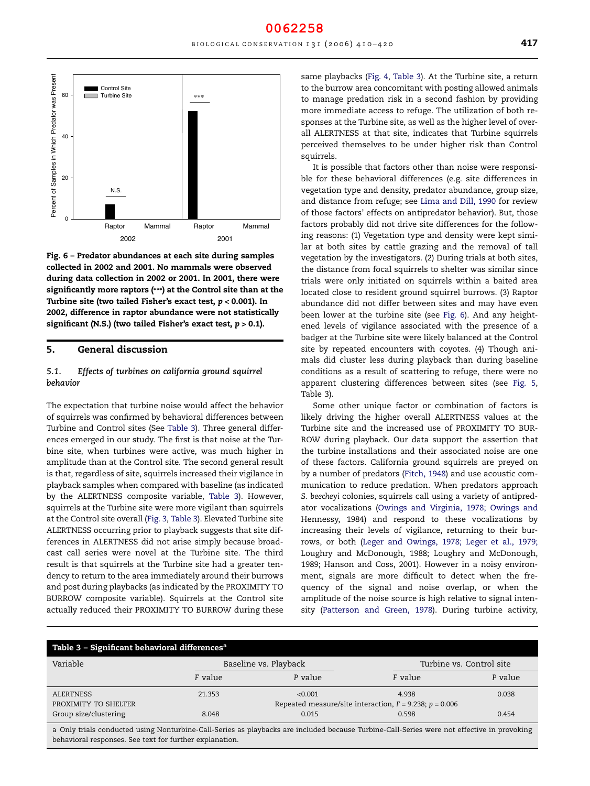<span id="page-7-0"></span>

Fig. 6 – Predator abundances at each site during samples collected in 2002 and 2001. No mammals were observed during data collection in 2002 or 2001. In 2001, there were significantly more raptors (\*\*\*) at the Control site than at the Turbine site (two tailed Fisher's exact test, p < 0.001). In 2002, difference in raptor abundance were not statistically significant (N.S.) (two tailed Fisher's exact test,  $p > 0.1$ ).

### 5. General discussion

#### 5.1. Effects of turbines on california ground squirrel behavior

The expectation that turbine noise would affect the behavior of squirrels was confirmed by behavioral differences between Turbine and Control sites (See Table 3). Three general differences emerged in our study. The first is that noise at the Turbine site, when turbines were active, was much higher in amplitude than at the Control site. The second general result is that, regardless of site, squirrels increased their vigilance in playback samples when compared with baseline (as indicated by the ALERTNESS composite variable, Table 3). However, squirrels at the Turbine site were more vigilant than squirrels at the Control site overall ([Fig. 3](#page-5-0), Table 3). Elevated Turbine site ALERTNESS occurring prior to playback suggests that site differences in ALERTNESS did not arise simply because broadcast call series were novel at the Turbine site. The third result is that squirrels at the Turbine site had a greater tendency to return to the area immediately around their burrows and post during playbacks (as indicated by the PROXIMITY TO BURROW composite variable). Squirrels at the Control site actually reduced their PROXIMITY TO BURROW during these same playbacks [\(Fig. 4](#page-5-0), Table 3). At the Turbine site, a return to the burrow area concomitant with posting allowed animals to manage predation risk in a second fashion by providing more immediate access to refuge. The utilization of both responses at the Turbine site, as well as the higher level of overall ALERTNESS at that site, indicates that Turbine squirrels perceived themselves to be under higher risk than Control squirrels.

It is possible that factors other than noise were responsible for these behavioral differences (e.g. site differences in vegetation type and density, predator abundance, group size, and distance from refuge; see [Lima and Dill, 1990](#page-9-0) for review of those factors' effects on antipredator behavior). But, those factors probably did not drive site differences for the following reasons: (1) Vegetation type and density were kept similar at both sites by cattle grazing and the removal of tall vegetation by the investigators. (2) During trials at both sites, the distance from focal squirrels to shelter was similar since trials were only initiated on squirrels within a baited area located close to resident ground squirrel burrows. (3) Raptor abundance did not differ between sites and may have even been lower at the turbine site (see Fig. 6). And any heightened levels of vigilance associated with the presence of a badger at the Turbine site were likely balanced at the Control site by repeated encounters with coyotes. (4) Though animals did cluster less during playback than during baseline conditions as a result of scattering to refuge, there were no apparent clustering differences between sites (see [Fig. 5,](#page-6-0) Table 3).

Some other unique factor or combination of factors is likely driving the higher overall ALERTNESS values at the Turbine site and the increased use of PROXIMITY TO BUR-ROW during playback. Our data support the assertion that the turbine installations and their associated noise are one of these factors. California ground squirrels are preyed on by a number of predators ([Fitch, 1948](#page-9-0)) and use acoustic communication to reduce predation. When predators approach S. beecheyi colonies, squirrels call using a variety of antipredator vocalizations ([Owings and Virginia, 1978; Owings and](#page-9-0) [Hennessy, 1984\)](#page-9-0) and respond to these vocalizations by increasing their levels of vigilance, returning to their burrows, or both [\(Leger and Owings, 1978; Leger et al., 1979;](#page-9-0) [Loughry and McDonough, 1988; Loughry and McDonough,](#page-9-0) [1989; Hanson and Coss, 2001\)](#page-9-0). However in a noisy environment, signals are more difficult to detect when the frequency of the signal and noise overlap, or when the amplitude of the noise source is high relative to signal intensity [\(Patterson and Green, 1978\)](#page-9-0). During turbine activity,

| Table 3 – Significant behavioral differences <sup>a</sup> |                                                              |         |         |                          |  |  |
|-----------------------------------------------------------|--------------------------------------------------------------|---------|---------|--------------------------|--|--|
| Variable                                                  | Baseline vs. Playback                                        |         |         | Turbine vs. Control site |  |  |
|                                                           | F value                                                      | P value | F value | P value                  |  |  |
| <b>ALERTNESS</b>                                          | 21.353                                                       | < 0.001 | 4.938   | 0.038                    |  |  |
| PROXIMITY TO SHELTER                                      | Repeated measure/site interaction, $F = 9.238$ ; $p = 0.006$ |         |         |                          |  |  |
| Group size/clustering                                     | 8.048                                                        | 0.015   | 0.598   | 0.454                    |  |  |
|                                                           |                                                              |         |         |                          |  |  |

a Only trials conducted using Nonturbine-Call-Series as playbacks are included because Turbine-Call-Series were not effective in provoking behavioral responses. See text for further explanation.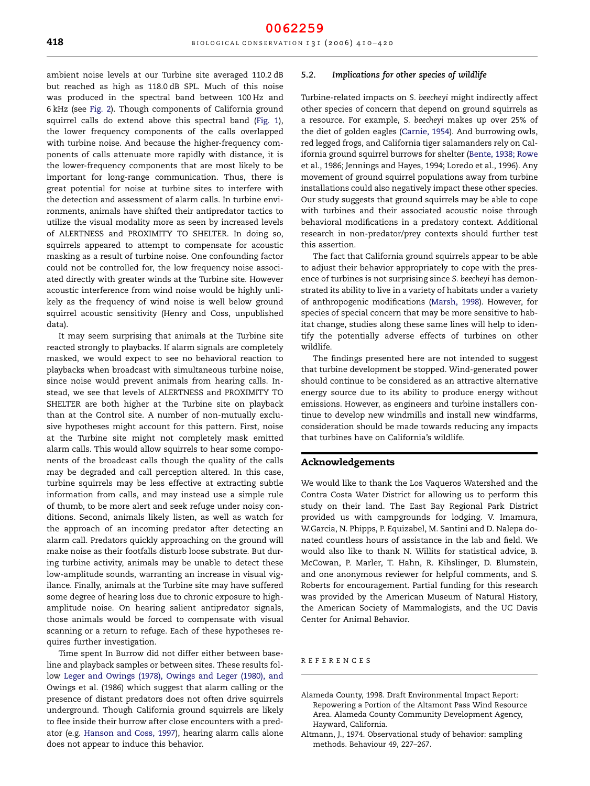<span id="page-8-0"></span>ambient noise levels at our Turbine site averaged 110.2 dB but reached as high as 118.0 dB SPL. Much of this noise was produced in the spectral band between 100 Hz and 6 kHz (see [Fig. 2](#page-4-0)). Though components of California ground squirrel calls do extend above this spectral band [\(Fig. 1](#page-2-0)), the lower frequency components of the calls overlapped with turbine noise. And because the higher-frequency components of calls attenuate more rapidly with distance, it is the lower-frequency components that are most likely to be important for long-range communication. Thus, there is great potential for noise at turbine sites to interfere with the detection and assessment of alarm calls. In turbine environments, animals have shifted their antipredator tactics to utilize the visual modality more as seen by increased levels of ALERTNESS and PROXIMITY TO SHELTER. In doing so, squirrels appeared to attempt to compensate for acoustic masking as a result of turbine noise. One confounding factor could not be controlled for, the low frequency noise associated directly with greater winds at the Turbine site. However acoustic interference from wind noise would be highly unlikely as the frequency of wind noise is well below ground squirrel acoustic sensitivity (Henry and Coss, unpublished data).

It may seem surprising that animals at the Turbine site reacted strongly to playbacks. If alarm signals are completely masked, we would expect to see no behavioral reaction to playbacks when broadcast with simultaneous turbine noise, since noise would prevent animals from hearing calls. Instead, we see that levels of ALERTNESS and PROXIMITY TO SHELTER are both higher at the Turbine site on playback than at the Control site. A number of non-mutually exclusive hypotheses might account for this pattern. First, noise at the Turbine site might not completely mask emitted alarm calls. This would allow squirrels to hear some components of the broadcast calls though the quality of the calls may be degraded and call perception altered. In this case, turbine squirrels may be less effective at extracting subtle information from calls, and may instead use a simple rule of thumb, to be more alert and seek refuge under noisy conditions. Second, animals likely listen, as well as watch for the approach of an incoming predator after detecting an alarm call. Predators quickly approaching on the ground will make noise as their footfalls disturb loose substrate. But during turbine activity, animals may be unable to detect these low-amplitude sounds, warranting an increase in visual vigilance. Finally, animals at the Turbine site may have suffered some degree of hearing loss due to chronic exposure to highamplitude noise. On hearing salient antipredator signals, those animals would be forced to compensate with visual scanning or a return to refuge. Each of these hypotheses requires further investigation.

Time spent In Burrow did not differ either between baseline and playback samples or between sites. These results follow [Leger and Owings \(1978\), Owings and Leger \(1980\), and](#page-9-0) [Owings et al. \(1986\)](#page-9-0) which suggest that alarm calling or the presence of distant predators does not often drive squirrels underground. Though California ground squirrels are likely to flee inside their burrow after close encounters with a predator (e.g. [Hanson and Coss, 1997](#page-9-0)), hearing alarm calls alone does not appear to induce this behavior.

#### 5.2. Implications for other species of wildlife

Turbine-related impacts on S. beecheyi might indirectly affect other species of concern that depend on ground squirrels as a resource. For example, S. beecheyi makes up over 25% of the diet of golden eagles ([Carnie, 1954\)](#page-9-0). And burrowing owls, red legged frogs, and California tiger salamanders rely on California ground squirrel burrows for shelter ([Bente, 1938; Rowe](#page-9-0) [et al., 1986; Jennings and Hayes, 1994; Loredo et al., 1996\)](#page-9-0). Any movement of ground squirrel populations away from turbine installations could also negatively impact these other species. Our study suggests that ground squirrels may be able to cope with turbines and their associated acoustic noise through behavioral modifications in a predatory context. Additional research in non-predator/prey contexts should further test this assertion.

The fact that California ground squirrels appear to be able to adjust their behavior appropriately to cope with the presence of turbines is not surprising since S. beecheyi has demonstrated its ability to live in a variety of habitats under a variety of anthropogenic modifications ([Marsh, 1998\)](#page-9-0). However, for species of special concern that may be more sensitive to habitat change, studies along these same lines will help to identify the potentially adverse effects of turbines on other wildlife.

The findings presented here are not intended to suggest that turbine development be stopped. Wind-generated power should continue to be considered as an attractive alternative energy source due to its ability to produce energy without emissions. However, as engineers and turbine installers continue to develop new windmills and install new windfarms, consideration should be made towards reducing any impacts that turbines have on California's wildlife.

#### Acknowledgements

We would like to thank the Los Vaqueros Watershed and the Contra Costa Water District for allowing us to perform this study on their land. The East Bay Regional Park District provided us with campgrounds for lodging. V. Imamura, W.Garcia, N. Phipps, P. Equizabel, M. Santini and D. Nalepa donated countless hours of assistance in the lab and field. We would also like to thank N. Willits for statistical advice, B. McCowan, P. Marler, T. Hahn, R. Kihslinger, D. Blumstein, and one anonymous reviewer for helpful comments, and S. Roberts for encouragement. Partial funding for this research was provided by the American Museum of Natural History, the American Society of Mammalogists, and the UC Davis Center for Animal Behavior.

#### REFERENCES

- Alameda County, 1998. Draft Environmental Impact Report: Repowering a Portion of the Altamont Pass Wind Resource Area. Alameda County Community Development Agency, Hayward, California.
- Altmann, J., 1974. Observational study of behavior: sampling methods. Behaviour 49, 227–267.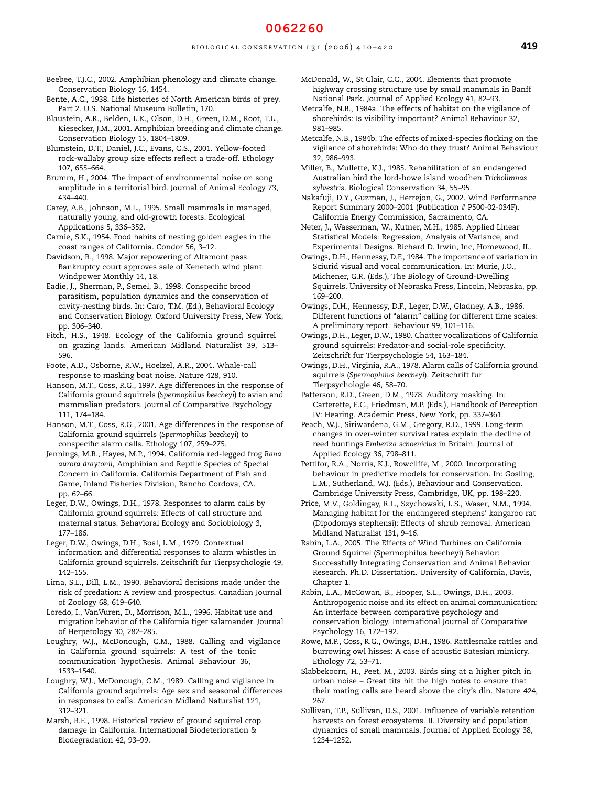- <span id="page-9-0"></span>Beebee, T.J.C., 2002. Amphibian phenology and climate change. Conservation Biology 16, 1454.
- Bente, A.C., 1938. Life histories of North American birds of prey. Part 2. U.S. National Museum Bulletin, 170.
- Blaustein, A.R., Belden, L.K., Olson, D.H., Green, D.M., Root, T.L., Kiesecker, J.M., 2001. Amphibian breeding and climate change. Conservation Biology 15, 1804–1809.
- Blumstein, D.T., Daniel, J.C., Evans, C.S., 2001. Yellow-footed rock-wallaby group size effects reflect a trade-off. Ethology 107, 655–664.
- Brumm, H., 2004. The impact of environmental noise on song amplitude in a territorial bird. Journal of Animal Ecology 73, 434–440.
- Carey, A.B., Johnson, M.L., 1995. Small mammals in managed, naturally young, and old-growth forests. Ecological Applications 5, 336–352.
- Carnie, S.K., 1954. Food habits of nesting golden eagles in the coast ranges of California. Condor 56, 3–12.
- Davidson, R., 1998. Major repowering of Altamont pass: Bankruptcy court approves sale of Kenetech wind plant. Windpower Monthly 14, 18.
- Eadie, J., Sherman, P., Semel, B., 1998. Conspecific brood parasitism, population dynamics and the conservation of cavity-nesting birds. In: Caro, T.M. (Ed.), Behavioral Ecology and Conservation Biology. Oxford University Press, New York, pp. 306–340.
- Fitch, H.S., 1948. Ecology of the California ground squirrel on grazing lands. American Midland Naturalist 39, 513– 596.
- Foote, A.D., Osborne, R.W., Hoelzel, A.R., 2004. Whale-call response to masking boat noise. Nature 428, 910.
- Hanson, M.T., Coss, R.G., 1997. Age differences in the response of California ground squirrels (Spermophilus beecheyi) to avian and mammalian predators. Journal of Comparative Psychology 111, 174–184.
- Hanson, M.T., Coss, R.G., 2001. Age differences in the response of California ground squirrels (Spermophilus beecheyi) to conspecific alarm calls. Ethology 107, 259–275.
- Jennings, M.R., Hayes, M.P., 1994. California red-legged frog Rana aurora draytonii, Amphibian and Reptile Species of Special Concern in California. California Department of Fish and Game, Inland Fisheries Division, Rancho Cordova, CA. pp. 62–66.
- Leger, D.W., Owings, D.H., 1978. Responses to alarm calls by California ground squirrels: Effects of call structure and maternal status. Behavioral Ecology and Sociobiology 3, 177–186.
- Leger, D.W., Owings, D.H., Boal, L.M., 1979. Contextual information and differential responses to alarm whistles in California ground squirrels. Zeitschrift fur Tierpsychologie 49, 142–155.
- Lima, S.L., Dill, L.M., 1990. Behavioral decisions made under the risk of predation: A review and prospectus. Canadian Journal of Zoology 68, 619–640.
- Loredo, I., VanVuren, D., Morrison, M.L., 1996. Habitat use and migration behavior of the California tiger salamander. Journal of Herpetology 30, 282–285.
- Loughry, W.J., McDonough, C.M., 1988. Calling and vigilance in California ground squirrels: A test of the tonic communication hypothesis. Animal Behaviour 36, 1533–1540.
- Loughry, W.J., McDonough, C.M., 1989. Calling and vigilance in California ground squirrels: Age sex and seasonal differences in responses to calls. American Midland Naturalist 121, 312–321.
- Marsh, R.E., 1998. Historical review of ground squirrel crop damage in California. International Biodeterioration & Biodegradation 42, 93–99.
- McDonald, W., St Clair, C.C., 2004. Elements that promote highway crossing structure use by small mammals in Banff National Park. Journal of Applied Ecology 41, 82–93.
- Metcalfe, N.B., 1984a. The effects of habitat on the vigilance of shorebirds: Is visibility important? Animal Behaviour 32, 981–985.
- Metcalfe, N.B., 1984b. The effects of mixed-species flocking on the vigilance of shorebirds: Who do they trust? Animal Behaviour 32, 986–993.
- Miller, B., Mullette, K.J., 1985. Rehabilitation of an endangered Australian bird the lord-howe island woodhen Tricholimnas sylvestris. Biological Conservation 34, 55–95.
- Nakafuji, D.Y., Guzman, J., Herrejon, G., 2002. Wind Performance Report Summary 2000–2001 (Publication # P500-02-034F). California Energy Commission, Sacramento, CA.
- Neter, J., Wasserman, W., Kutner, M.H., 1985. Applied Linear Statistical Models: Regression, Analysis of Variance, and Experimental Designs. Richard D. Irwin, Inc, Homewood, IL.
- Owings, D.H., Hennessy, D.F., 1984. The importance of variation in Sciurid visual and vocal communication. In: Murie, J.O., Michener, G.R. (Eds.), The Biology of Ground-Dwelling Squirrels. University of Nebraska Press, Lincoln, Nebraska, pp. 169–200.
- Owings, D.H., Hennessy, D.F., Leger, D.W., Gladney, A.B., 1986. Different functions of ''alarm'' calling for different time scales: A preliminary report. Behaviour 99, 101–116.
- Owings, D.H., Leger, D.W., 1980. Chatter vocalizations of California ground squirrels: Predator-and social-role specificity. Zeitschrift fur Tierpsychologie 54, 163–184.
- Owings, D.H., Virginia, R.A., 1978. Alarm calls of California ground squirrels (Spermophilus beecheyi). Zeitschrift fur Tierpsychologie 46, 58–70.
- Patterson, R.D., Green, D.M., 1978. Auditory masking. In: Carterette, E.C., Friedman, M.P. (Eds.), Handbook of Perception IV: Hearing. Academic Press, New York, pp. 337–361.
- Peach, W.J., Siriwardena, G.M., Gregory, R.D., 1999. Long-term changes in over-winter survival rates explain the decline of reed buntings Emberiza schoeniclus in Britain. Journal of Applied Ecology 36, 798–811.
- Pettifor, R.A., Norris, K.J., Rowcliffe, M., 2000. Incorporating behaviour in predictive models for conservation. In: Gosling, L.M., Sutherland, W.J. (Eds.), Behaviour and Conservation. Cambridge University Press, Cambridge, UK, pp. 198–220.
- Price, M.V., Goldingay, R.L., Szychowski, L.S., Waser, N.M., 1994. Managing habitat for the endangered stephens' kangaroo rat (Dipodomys stephensi): Effects of shrub removal. American Midland Naturalist 131, 9–16.
- Rabin, L.A., 2005. The Effects of Wind Turbines on California Ground Squirrel (Spermophilus beecheyi) Behavior: Successfully Integrating Conservation and Animal Behavior Research. Ph.D. Dissertation. University of California, Davis, Chapter 1.
- Rabin, L.A., McCowan, B., Hooper, S.L., Owings, D.H., 2003. Anthropogenic noise and its effect on animal communication: An interface between comparative psychology and conservation biology. International Journal of Comparative Psychology 16, 172–192.
- Rowe, M.P., Coss, R.G., Owings, D.H., 1986. Rattlesnake rattles and burrowing owl hisses: A case of acoustic Batesian mimicry. Ethology 72, 53–71.
- Slabbekoorn, H., Peet, M., 2003. Birds sing at a higher pitch in urban noise – Great tits hit the high notes to ensure that their mating calls are heard above the city's din. Nature 424, 267.
- Sullivan, T.P., Sullivan, D.S., 2001. Influence of variable retention harvests on forest ecosystems. II. Diversity and population dynamics of small mammals. Journal of Applied Ecology 38, 1234–1252.